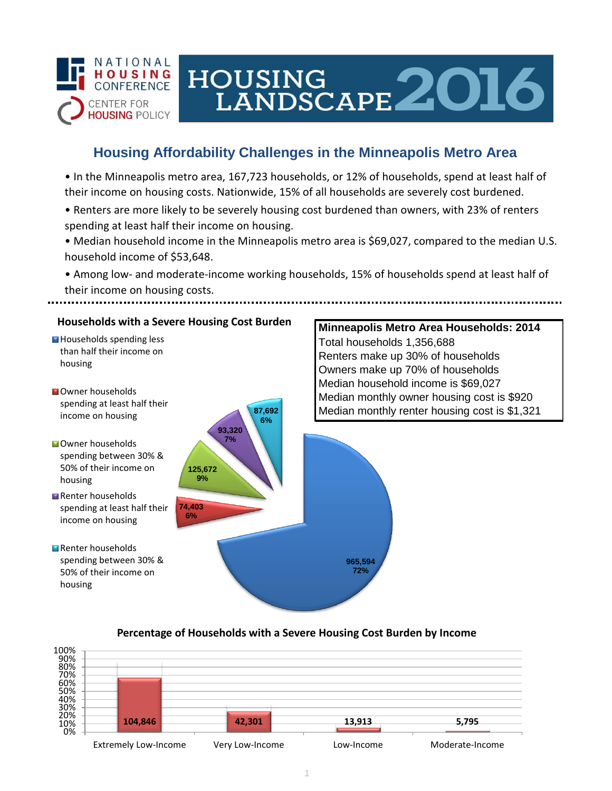

# HOUSING LANDSCAPE 2016

## **Housing Affordability Challenges in the Minneapolis Metro Area**

• In the Minneapolis metro area, 167,723 households, or 12% of households, spend at least half of their income on housing costs. Nationwide, 15% of all households are severely cost burdened.

- Renters are more likely to be severely housing cost burdened than owners, with 23% of renters spending at least half their income on housing.
- Median household income in the Minneapolis metro area is \$69,027, compared to the median U.S. household income of \$53,648.
- Among low- and moderate-income working households, 15% of households spend at least half of their income on housing costs.



#### **Percentage of Households with a Severe Housing Cost Burden by Income**